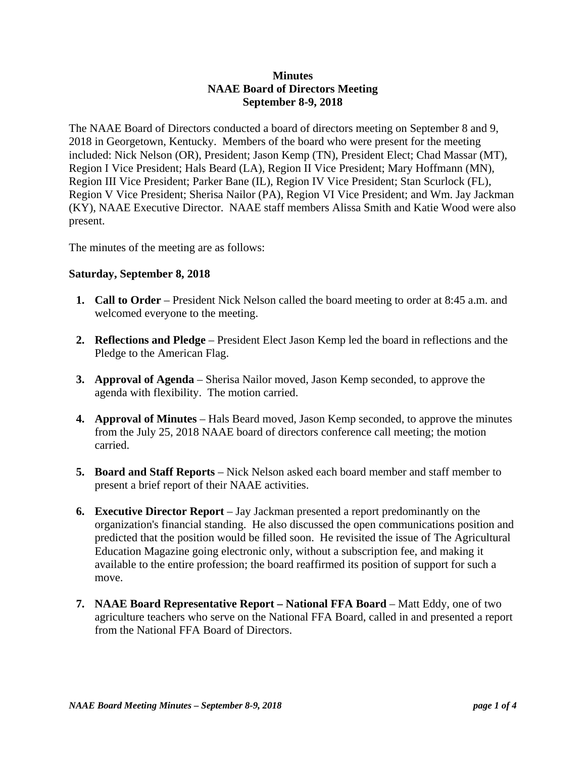## **Minutes NAAE Board of Directors Meeting September 8-9, 2018**

The NAAE Board of Directors conducted a board of directors meeting on September 8 and 9, 2018 in Georgetown, Kentucky. Members of the board who were present for the meeting included: Nick Nelson (OR), President; Jason Kemp (TN), President Elect; Chad Massar (MT), Region I Vice President; Hals Beard (LA), Region II Vice President; Mary Hoffmann (MN), Region III Vice President; Parker Bane (IL), Region IV Vice President; Stan Scurlock (FL), Region V Vice President; Sherisa Nailor (PA), Region VI Vice President; and Wm. Jay Jackman (KY), NAAE Executive Director. NAAE staff members Alissa Smith and Katie Wood were also present.

The minutes of the meeting are as follows:

## **Saturday, September 8, 2018**

- **1. Call to Order** President Nick Nelson called the board meeting to order at 8:45 a.m. and welcomed everyone to the meeting.
- **2. Reflections and Pledge** President Elect Jason Kemp led the board in reflections and the Pledge to the American Flag.
- **3. Approval of Agenda** Sherisa Nailor moved, Jason Kemp seconded, to approve the agenda with flexibility. The motion carried.
- **4. Approval of Minutes**  Hals Beard moved, Jason Kemp seconded, to approve the minutes from the July 25, 2018 NAAE board of directors conference call meeting; the motion carried.
- **5. Board and Staff Reports**  Nick Nelson asked each board member and staff member to present a brief report of their NAAE activities.
- **6. Executive Director Report** Jay Jackman presented a report predominantly on the organization's financial standing. He also discussed the open communications position and predicted that the position would be filled soon. He revisited the issue of The Agricultural Education Magazine going electronic only, without a subscription fee, and making it available to the entire profession; the board reaffirmed its position of support for such a move.
- **7. NAAE Board Representative Report National FFA Board** Matt Eddy, one of two agriculture teachers who serve on the National FFA Board, called in and presented a report from the National FFA Board of Directors.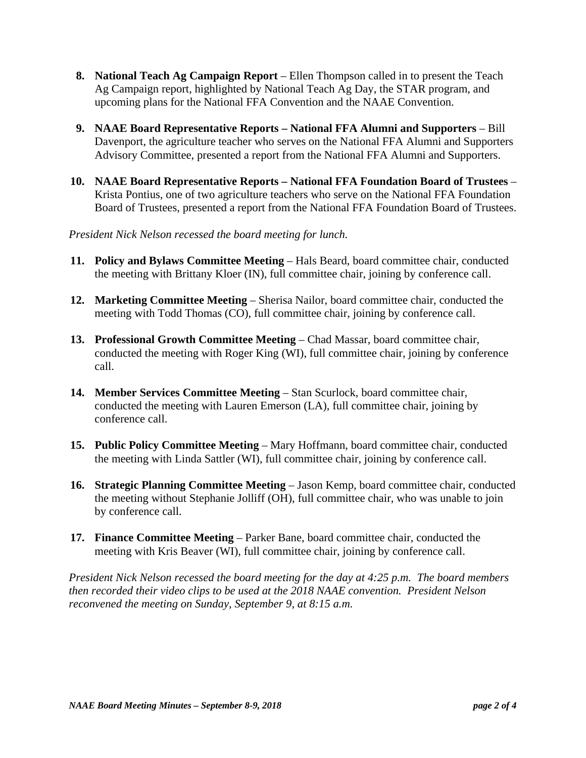- **8. National Teach Ag Campaign Report** Ellen Thompson called in to present the Teach Ag Campaign report, highlighted by National Teach Ag Day, the STAR program, and upcoming plans for the National FFA Convention and the NAAE Convention.
- **9. NAAE Board Representative Reports National FFA Alumni and Supporters**  Bill Davenport, the agriculture teacher who serves on the National FFA Alumni and Supporters Advisory Committee, presented a report from the National FFA Alumni and Supporters.
- **10. NAAE Board Representative Reports National FFA Foundation Board of Trustees**  Krista Pontius, one of two agriculture teachers who serve on the National FFA Foundation Board of Trustees, presented a report from the National FFA Foundation Board of Trustees.

*President Nick Nelson recessed the board meeting for lunch.* 

- **11. Policy and Bylaws Committee Meeting** Hals Beard, board committee chair, conducted the meeting with Brittany Kloer (IN), full committee chair, joining by conference call.
- **12. Marketing Committee Meeting** Sherisa Nailor, board committee chair, conducted the meeting with Todd Thomas (CO), full committee chair, joining by conference call.
- **13. Professional Growth Committee Meeting** Chad Massar, board committee chair, conducted the meeting with Roger King (WI), full committee chair, joining by conference call.
- **14. Member Services Committee Meeting** Stan Scurlock, board committee chair, conducted the meeting with Lauren Emerson (LA), full committee chair, joining by conference call.
- **15. Public Policy Committee Meeting** Mary Hoffmann, board committee chair, conducted the meeting with Linda Sattler (WI), full committee chair, joining by conference call.
- **16. Strategic Planning Committee Meeting** Jason Kemp, board committee chair, conducted the meeting without Stephanie Jolliff (OH), full committee chair, who was unable to join by conference call.
- **17. Finance Committee Meeting** Parker Bane, board committee chair, conducted the meeting with Kris Beaver (WI), full committee chair, joining by conference call.

*President Nick Nelson recessed the board meeting for the day at 4:25 p.m. The board members then recorded their video clips to be used at the 2018 NAAE convention. President Nelson reconvened the meeting on Sunday, September 9, at 8:15 a.m.*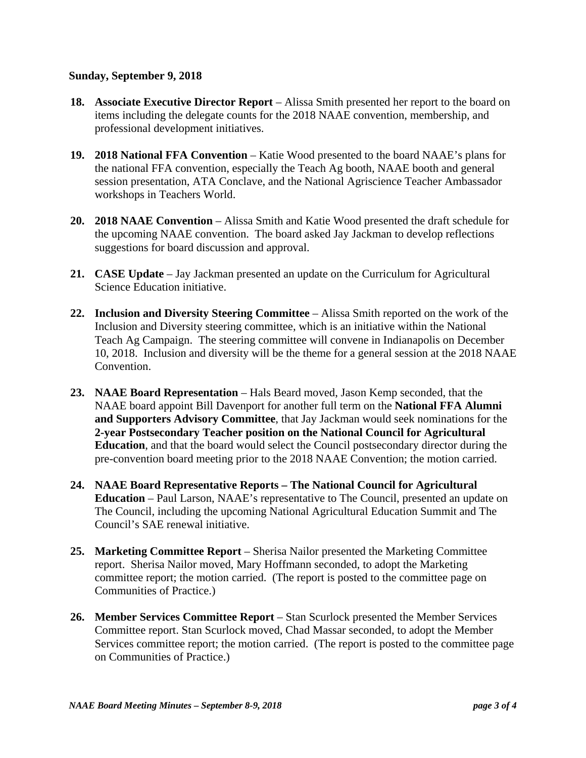## **Sunday, September 9, 2018**

- **18. Associate Executive Director Report** Alissa Smith presented her report to the board on items including the delegate counts for the 2018 NAAE convention, membership, and professional development initiatives.
- **19. 2018 National FFA Convention**  Katie Wood presented to the board NAAE's plans for the national FFA convention, especially the Teach Ag booth, NAAE booth and general session presentation, ATA Conclave, and the National Agriscience Teacher Ambassador workshops in Teachers World.
- **20. 2018 NAAE Convention**  Alissa Smith and Katie Wood presented the draft schedule for the upcoming NAAE convention. The board asked Jay Jackman to develop reflections suggestions for board discussion and approval.
- **21. CASE Update**  Jay Jackman presented an update on the Curriculum for Agricultural Science Education initiative.
- **22. Inclusion and Diversity Steering Committee**  Alissa Smith reported on the work of the Inclusion and Diversity steering committee, which is an initiative within the National Teach Ag Campaign. The steering committee will convene in Indianapolis on December 10, 2018. Inclusion and diversity will be the theme for a general session at the 2018 NAAE Convention.
- **23. NAAE Board Representation**  Hals Beard moved, Jason Kemp seconded, that the NAAE board appoint Bill Davenport for another full term on the **National FFA Alumni and Supporters Advisory Committee**, that Jay Jackman would seek nominations for the **2-year Postsecondary Teacher position on the National Council for Agricultural Education**, and that the board would select the Council postsecondary director during the pre-convention board meeting prior to the 2018 NAAE Convention; the motion carried.
- **24. NAAE Board Representative Reports The National Council for Agricultural Education** – Paul Larson, NAAE's representative to The Council, presented an update on The Council, including the upcoming National Agricultural Education Summit and The Council's SAE renewal initiative.
- **25. Marketing Committee Report**  Sherisa Nailor presented the Marketing Committee report. Sherisa Nailor moved, Mary Hoffmann seconded, to adopt the Marketing committee report; the motion carried. (The report is posted to the committee page on Communities of Practice.)
- **26. Member Services Committee Report**  Stan Scurlock presented the Member Services Committee report. Stan Scurlock moved, Chad Massar seconded, to adopt the Member Services committee report; the motion carried. (The report is posted to the committee page on Communities of Practice.)